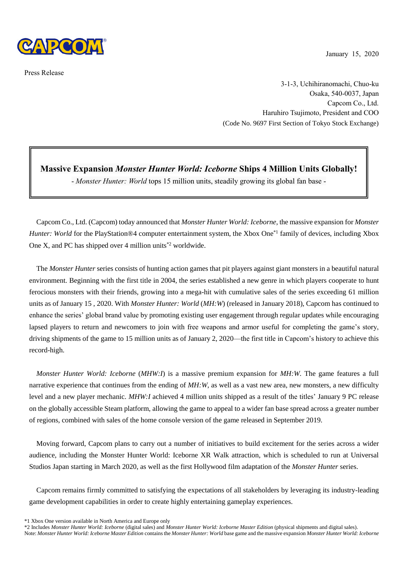

Press Release

January 15, 2020

3-1-3, Uchihiranomachi, Chuo-ku Osaka, 540-0037, Japan Capcom Co., Ltd. Haruhiro Tsujimoto, President and COO (Code No. 9697 First Section of Tokyo Stock Exchange)

## **Massive Expansion** *Monster Hunter World: Iceborne* **Ships 4 Million Units Globally!**

- *Monster Hunter: World* tops 15 million units, steadily growing its global fan base -

Capcom Co., Ltd. (Capcom) today announced that *Monster Hunter World: Iceborne*, the massive expansion for *Monster Hunter: World* for the PlayStation®4 computer entertainment system, the Xbox One<sup>\*1</sup> family of devices, including Xbox One X, and PC has shipped over 4 million units\*2 worldwide.

The *Monster Hunter* series consists of hunting action games that pit players against giant monsters in a beautiful natural environment. Beginning with the first title in 2004, the series established a new genre in which players cooperate to hunt ferocious monsters with their friends, growing into a mega-hit with cumulative sales of the series exceeding 61 million units as of January 15 , 2020. With *Monster Hunter: World* (*MH:W*) (released in January 2018), Capcom has continued to enhance the series' global brand value by promoting existing user engagement through regular updates while encouraging lapsed players to return and newcomers to join with free weapons and armor useful for completing the game's story, driving shipments of the game to 15 million units as of January 2, 2020—the first title in Capcom's history to achieve this record-high.

*Monster Hunter World: Iceborne* (*MHW:I*) is a massive premium expansion for *MH:W*. The game features a full narrative experience that continues from the ending of *MH:W*, as well as a vast new area, new monsters, a new difficulty level and a new player mechanic. *MHW:I* achieved 4 million units shipped as a result of the titles' January 9 PC release on the globally accessible Steam platform, allowing the game to appeal to a wider fan base spread across a greater number of regions, combined with sales of the home console version of the game released in September 2019.

Moving forward, Capcom plans to carry out a number of initiatives to build excitement for the series across a wider audience, including the Monster Hunter World: Iceborne XR Walk attraction, which is scheduled to run at Universal Studios Japan starting in March 2020, as well as the first Hollywood film adaptation of the *Monster Hunter* series.

Capcom remains firmly committed to satisfying the expectations of all stakeholders by leveraging its industry-leading game development capabilities in order to create highly entertaining gameplay experiences.

Note: *Monster Hunter World: Iceborne Master Edition* contains the *Monster Hunter: World* base game and the massive expansion *Monster Hunter World: Iceborne*

<sup>\*1</sup> Xbox One version available in North America and Europe only

<sup>\*2</sup> Includes *Monster Hunter World: Iceborne* (digital sales) and *Monster Hunter World: Iceborne Master Edition* (physical shipments and digital sales).